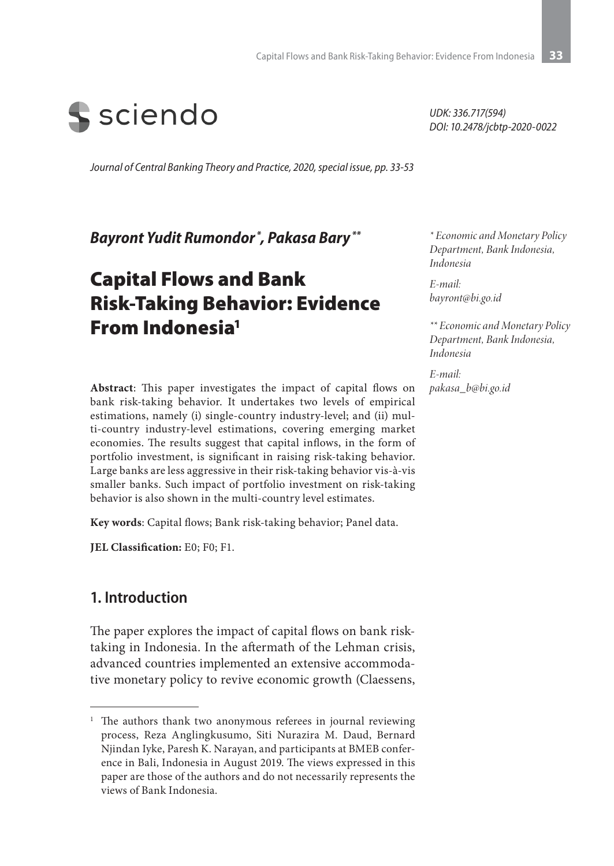

*Journal of Central Banking Theory and Practice, 2020, special issue, pp. 33-53*

*Bayront Yudit Rumondor \*, Pakasa Bary \*\**

# Capital Flows and Bank Risk-Taking Behavior: Evidence From Indonesia1

**Abstract**: This paper investigates the impact of capital flows on bank risk-taking behavior. It undertakes two levels of empirical estimations, namely (i) single-country industry-level; and (ii) multi-country industry-level estimations, covering emerging market economies. The results suggest that capital inflows, in the form of portfolio investment, is significant in raising risk-taking behavior. Large banks are less aggressive in their risk-taking behavior vis-à-vis smaller banks. Such impact of portfolio investment on risk-taking behavior is also shown in the multi-country level estimates.

**Key words**: Capital flows; Bank risk-taking behavior; Panel data.

**JEL Classification:** E0; F0; F1.

### **1. Introduction**

The paper explores the impact of capital flows on bank risktaking in Indonesia. In the aftermath of the Lehman crisis, advanced countries implemented an extensive accommodative monetary policy to revive economic growth (Claessens, *UDK: 336.717(594) DOI: 10.2478/jcbtp-2020-0022*

*\* Economic and Monetary Policy Department, Bank Indonesia, Indonesia*

*E-mail: bayront@bi.go.id*

*\*\* Economic and Monetary Policy Department, Bank Indonesia, Indonesia*

*E-mail: pakasa\_b@bi.go.id*

<sup>&</sup>lt;sup>1</sup> The authors thank two anonymous referees in journal reviewing process, Reza Anglingkusumo, Siti Nurazira M. Daud, Bernard Njindan Iyke, Paresh K. Narayan, and participants at BMEB conference in Bali, Indonesia in August 2019. The views expressed in this paper are those of the authors and do not necessarily represents the views of Bank Indonesia.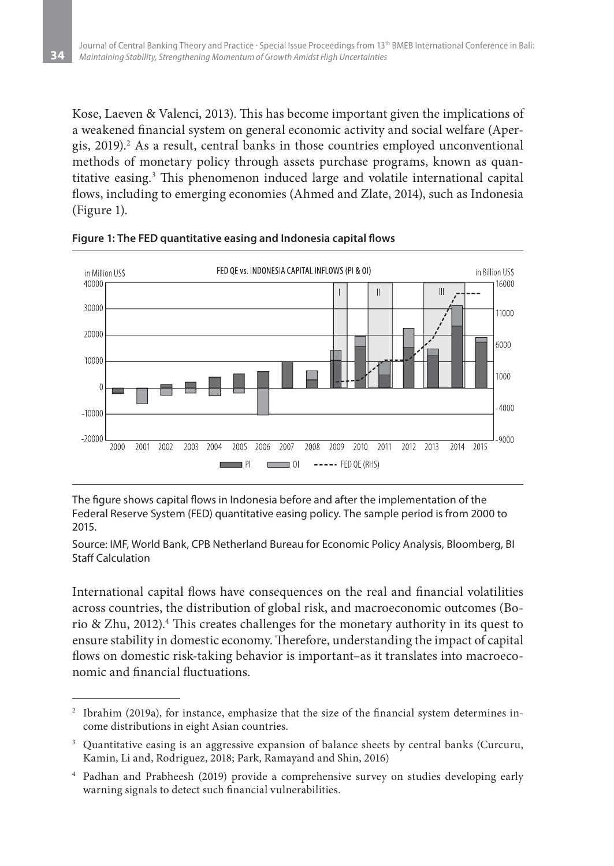Kose, Laeven & Valenci, 2013). This has become important given the implications of a weakened financial system on general economic activity and social welfare (Apergis, 2019).<sup>2</sup> As a result, central banks in those countries employed unconventional methods of monetary policy through assets purchase programs, known as quantitative easing.3 This phenomenon induced large and volatile international capital flows, including to emerging economies (Ahmed and Zlate, 2014), such as Indonesia (Figure 1).



**Figure 1: The FED quantitative easing and Indonesia capital flows**

The figure shows capital flows in Indonesia before and after the implementation of the Federal Reserve System (FED) quantitative easing policy. The sample period is from 2000 to 2015.

Source: IMF, World Bank, CPB Netherland Bureau for Economic Policy Analysis, Bloomberg, BI Staff Calculation

International capital flows have consequences on the real and financial volatilities across countries, the distribution of global risk, and macroeconomic outcomes (Borio & Zhu, 2012).<sup>4</sup> This creates challenges for the monetary authority in its quest to ensure stability in domestic economy. Therefore, understanding the impact of capital flows on domestic risk-taking behavior is important–as it translates into macroeconomic and financial fluctuations.

<sup>&</sup>lt;sup>2</sup> Ibrahim (2019a), for instance, emphasize that the size of the financial system determines income distributions in eight Asian countries.

<sup>&</sup>lt;sup>3</sup> Quantitative easing is an aggressive expansion of balance sheets by central banks (Curcuru, Kamin, Li and, Rodriguez, 2018; Park, Ramayand and Shin, 2016)

<sup>4</sup> Padhan and Prabheesh (2019) provide a comprehensive survey on studies developing early warning signals to detect such financial vulnerabilities.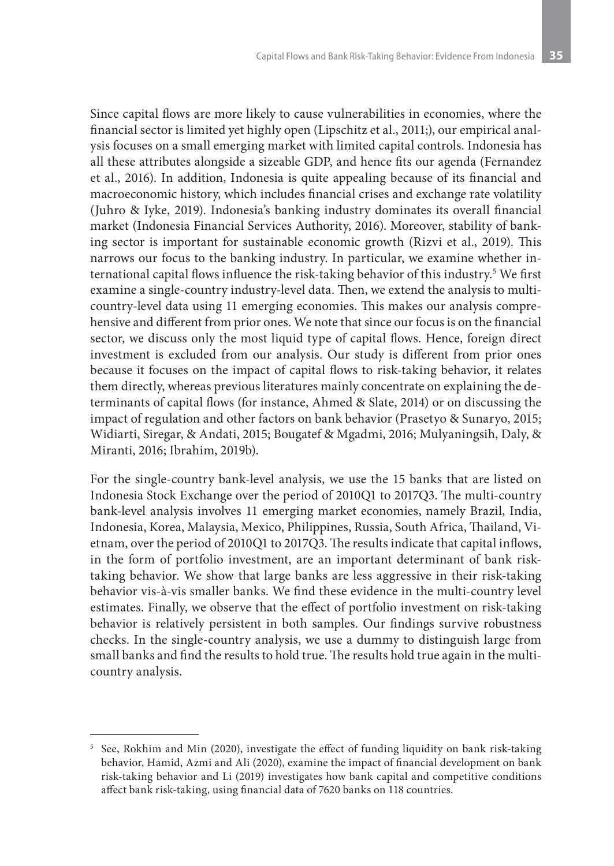Since capital flows are more likely to cause vulnerabilities in economies, where the financial sector is limited yet highly open (Lipschitz et al., 2011;), our empirical analysis focuses on a small emerging market with limited capital controls. Indonesia has all these attributes alongside a sizeable GDP, and hence fits our agenda (Fernandez et al., 2016). In addition, Indonesia is quite appealing because of its financial and macroeconomic history, which includes financial crises and exchange rate volatility (Juhro & Iyke, 2019). Indonesia's banking industry dominates its overall financial market (Indonesia Financial Services Authority, 2016). Moreover, stability of banking sector is important for sustainable economic growth (Rizvi et al., 2019). This narrows our focus to the banking industry. In particular, we examine whether international capital flows influence the risk-taking behavior of this industry.5 We first examine a single-country industry-level data. Then, we extend the analysis to multicountry-level data using 11 emerging economies. This makes our analysis comprehensive and different from prior ones. We note that since our focus is on the financial sector, we discuss only the most liquid type of capital flows. Hence, foreign direct investment is excluded from our analysis. Our study is different from prior ones because it focuses on the impact of capital flows to risk-taking behavior, it relates them directly, whereas previous literatures mainly concentrate on explaining the determinants of capital flows (for instance, Ahmed & Slate, 2014) or on discussing the impact of regulation and other factors on bank behavior (Prasetyo & Sunaryo, 2015; Widiarti, Siregar, & Andati, 2015; Bougatef & Mgadmi, 2016; Mulyaningsih, Daly, & Miranti, 2016; Ibrahim, 2019b).

For the single-country bank-level analysis, we use the 15 banks that are listed on Indonesia Stock Exchange over the period of 2010Q1 to 2017Q3. The multi-country bank-level analysis involves 11 emerging market economies, namely Brazil, India, Indonesia, Korea, Malaysia, Mexico, Philippines, Russia, South Africa, Thailand, Vietnam, over the period of 2010Q1 to 2017Q3. The results indicate that capital inflows, in the form of portfolio investment, are an important determinant of bank risktaking behavior. We show that large banks are less aggressive in their risk-taking behavior vis-à-vis smaller banks. We find these evidence in the multi-country level estimates. Finally, we observe that the effect of portfolio investment on risk-taking behavior is relatively persistent in both samples. Our findings survive robustness checks. In the single-country analysis, we use a dummy to distinguish large from small banks and find the results to hold true. The results hold true again in the multicountry analysis.

<sup>5</sup> See, Rokhim and Min (2020), investigate the effect of funding liquidity on bank risk-taking behavior, Hamid, Azmi and Ali (2020), examine the impact of financial development on bank risk-taking behavior and Li (2019) investigates how bank capital and competitive conditions affect bank risk-taking, using financial data of 7620 banks on 118 countries.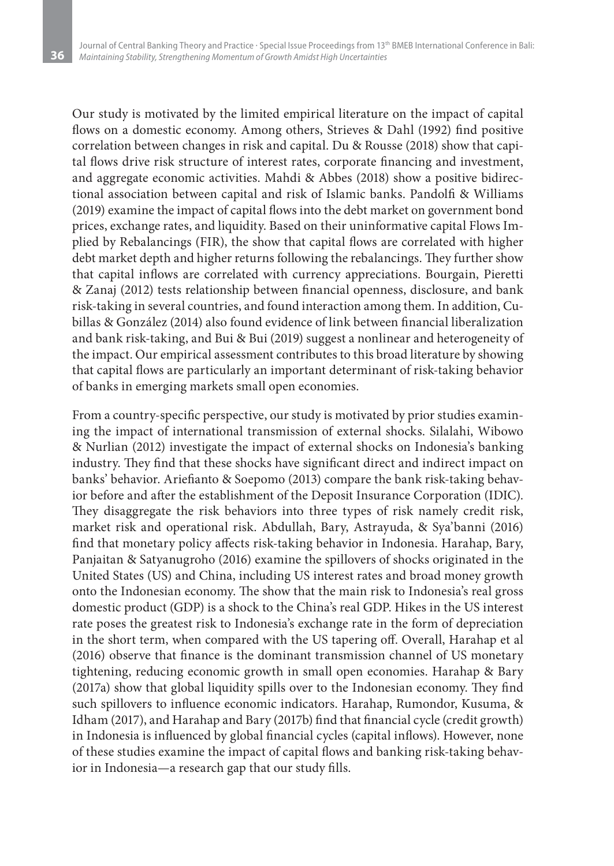Our study is motivated by the limited empirical literature on the impact of capital flows on a domestic economy. Among others, Strieves & Dahl (1992) find positive correlation between changes in risk and capital. Du & Rousse (2018) show that capital flows drive risk structure of interest rates, corporate financing and investment, and aggregate economic activities. Mahdi & Abbes (2018) show a positive bidirectional association between capital and risk of Islamic banks. Pandolfi & Williams (2019) examine the impact of capital flows into the debt market on government bond prices, exchange rates, and liquidity. Based on their uninformative capital Flows Implied by Rebalancings (FIR), the show that capital flows are correlated with higher debt market depth and higher returns following the rebalancings. They further show that capital inflows are correlated with currency appreciations. Bourgain, Pieretti & Zanaj (2012) tests relationship between financial openness, disclosure, and bank risk-taking in several countries, and found interaction among them. In addition, Cubillas & González (2014) also found evidence of link between financial liberalization and bank risk-taking, and Bui & Bui (2019) suggest a nonlinear and heterogeneity of the impact. Our empirical assessment contributes to this broad literature by showing that capital flows are particularly an important determinant of risk-taking behavior of banks in emerging markets small open economies.

From a country-specific perspective, our study is motivated by prior studies examining the impact of international transmission of external shocks. Silalahi, Wibowo & Nurlian (2012) investigate the impact of external shocks on Indonesia's banking industry. They find that these shocks have significant direct and indirect impact on banks' behavior. Ariefianto & Soepomo (2013) compare the bank risk-taking behavior before and after the establishment of the Deposit Insurance Corporation (IDIC). They disaggregate the risk behaviors into three types of risk namely credit risk, market risk and operational risk. Abdullah, Bary, Astrayuda, & Sya'banni (2016) find that monetary policy affects risk-taking behavior in Indonesia. Harahap, Bary, Panjaitan & Satyanugroho (2016) examine the spillovers of shocks originated in the United States (US) and China, including US interest rates and broad money growth onto the Indonesian economy. The show that the main risk to Indonesia's real gross domestic product (GDP) is a shock to the China's real GDP. Hikes in the US interest rate poses the greatest risk to Indonesia's exchange rate in the form of depreciation in the short term, when compared with the US tapering off. Overall, Harahap et al (2016) observe that finance is the dominant transmission channel of US monetary tightening, reducing economic growth in small open economies. Harahap & Bary (2017a) show that global liquidity spills over to the Indonesian economy. They find such spillovers to influence economic indicators. Harahap, Rumondor, Kusuma, & Idham (2017), and Harahap and Bary (2017b) find that financial cycle (credit growth) in Indonesia is influenced by global financial cycles (capital inflows). However, none of these studies examine the impact of capital flows and banking risk-taking behavior in Indonesia—a research gap that our study fills.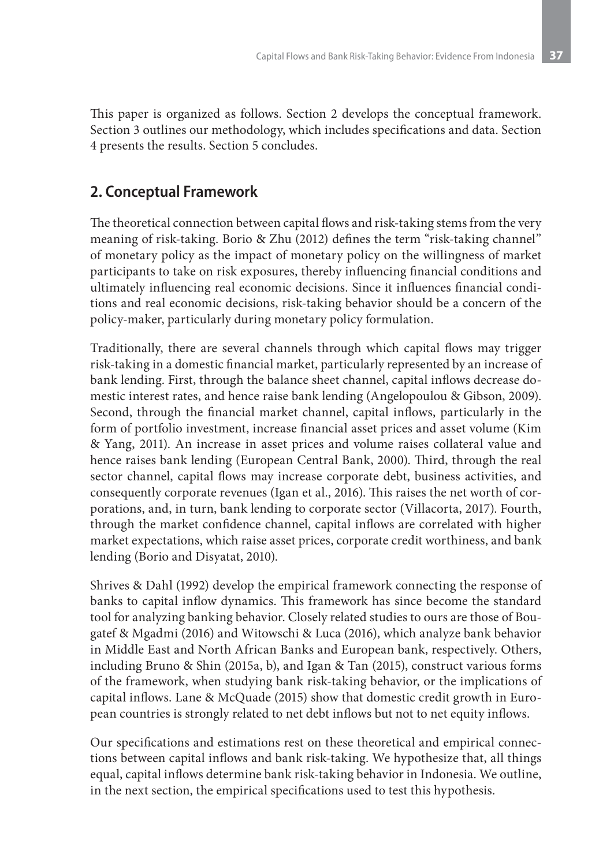This paper is organized as follows. Section 2 develops the conceptual framework. Section 3 outlines our methodology, which includes specifications and data. Section 4 presents the results. Section 5 concludes.

# **2. Conceptual Framework**

The theoretical connection between capital flows and risk-taking stems from the very meaning of risk-taking. Borio & Zhu (2012) defines the term "risk-taking channel" of monetary policy as the impact of monetary policy on the willingness of market participants to take on risk exposures, thereby influencing financial conditions and ultimately influencing real economic decisions. Since it influences financial conditions and real economic decisions, risk-taking behavior should be a concern of the policy-maker, particularly during monetary policy formulation.

Traditionally, there are several channels through which capital flows may trigger risk-taking in a domestic financial market, particularly represented by an increase of bank lending. First, through the balance sheet channel, capital inflows decrease domestic interest rates, and hence raise bank lending (Angelopoulou & Gibson, 2009). Second, through the financial market channel, capital inflows, particularly in the form of portfolio investment, increase financial asset prices and asset volume (Kim & Yang, 2011). An increase in asset prices and volume raises collateral value and hence raises bank lending (European Central Bank, 2000). Third, through the real sector channel, capital flows may increase corporate debt, business activities, and consequently corporate revenues (Igan et al., 2016). This raises the net worth of corporations, and, in turn, bank lending to corporate sector (Villacorta, 2017). Fourth, through the market confidence channel, capital inflows are correlated with higher market expectations, which raise asset prices, corporate credit worthiness, and bank lending (Borio and Disyatat, 2010).

Shrives & Dahl (1992) develop the empirical framework connecting the response of banks to capital inflow dynamics. This framework has since become the standard tool for analyzing banking behavior. Closely related studies to ours are those of Bougatef & Mgadmi (2016) and Witowschi & Luca (2016), which analyze bank behavior in Middle East and North African Banks and European bank, respectively. Others, including Bruno & Shin (2015a, b), and Igan & Tan (2015), construct various forms of the framework, when studying bank risk-taking behavior, or the implications of capital inflows. Lane & McQuade (2015) show that domestic credit growth in European countries is strongly related to net debt inflows but not to net equity inflows.

Our specifications and estimations rest on these theoretical and empirical connections between capital inflows and bank risk-taking. We hypothesize that, all things equal, capital inflows determine bank risk-taking behavior in Indonesia. We outline, in the next section, the empirical specifications used to test this hypothesis.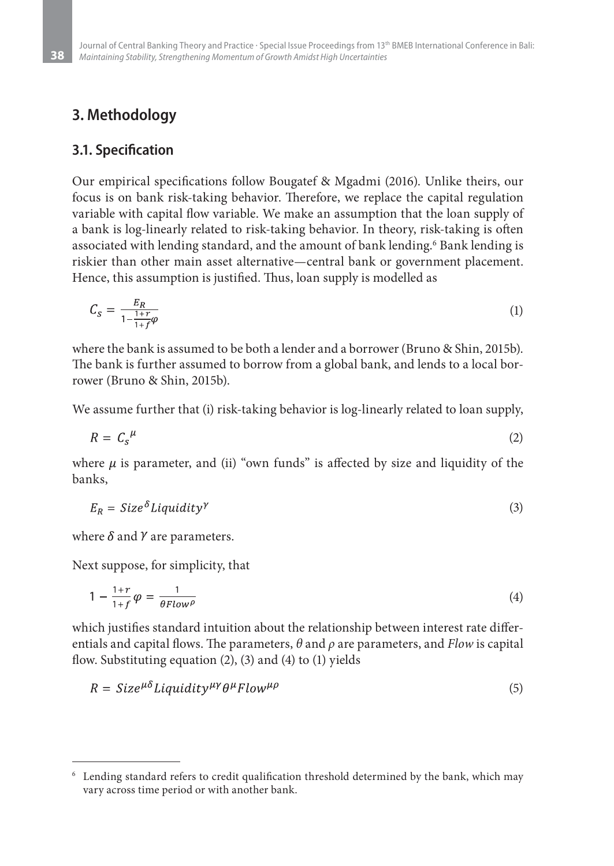### **3. Methodology**

### **3.1. Specification**

Our empirical specifications follow Bougatef & Mgadmi (2016). Unlike theirs, our focus is on bank risk-taking behavior. Therefore, we replace the capital regulation variable with capital flow variable. We make an assumption that the loan supply of a bank is log-linearly related to risk-taking behavior. In theory, risk-taking is often associated with lending standard, and the amount of bank lending.6 Bank lending is riskier than other main asset alternative—central bank or government placement. Hence, this assumption is justified. Thus, loan supply is modelled as

$$
C_S = \frac{E_R}{1 - \frac{1+r}{1+f}\varphi} \tag{1}
$$

where the bank is assumed to be both a lender and a borrower (Bruno & Shin, 2015b). The bank is further assumed to borrow from a global bank, and lends to a local borrower (Bruno & Shin, 2015b).

We assume further that (i) risk-taking behavior is log-linearly related to loan supply,

$$
R = C_s^{\mu} \tag{2}
$$

where  $\mu$  is parameter, and (ii) "own funds" is affected by size and liquidity of the banks,

$$
E_R = Size^{\delta}Liquidity^{\gamma}
$$
 (3)

where  $\delta$  and  $\gamma$  are parameters.

Next suppose, for simplicity, that

$$
1 - \frac{1+r}{1+f} \varphi = \frac{1}{\theta Flow^{\rho}}
$$
 (4)

which justifies standard intuition about the relationship between interest rate differentials and capital flows. The parameters, *θ* and *ρ* are parameters, and *Flow* is capital flow. Substituting equation (2), (3) and (4) to (1) yields

$$
R = Size^{\mu\delta} Liquidity^{\mu\gamma} \theta^{\mu} Flow^{\mu\rho} \tag{5}
$$

<sup>6</sup> Lending standard refers to credit qualification threshold determined by the bank, which may vary across time period or with another bank.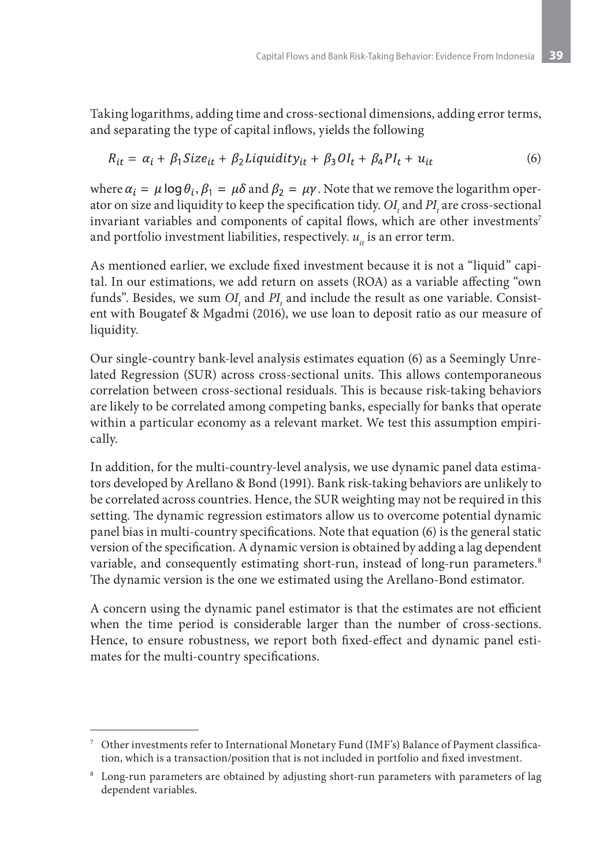Taking logarithms, adding time and cross-sectional dimensions, adding error terms, and separating the type of capital inflows, yields the following

$$
R_{it} = \alpha_i + \beta_1 Size_{it} + \beta_2 Liquidity_{it} + \beta_3 OI_t + \beta_4 PI_t + u_{it}
$$
\n(6)

where  $\alpha_i = \mu \log \theta_i$ ,  $\beta_1 = \mu \delta$  and  $\beta_2 = \mu \gamma$ . Note that we remove the logarithm operator on size and liquidity to keep the specification tidy.  $OI$  and  $PI$  are cross-sectional invariant variables and components of capital flows, which are other investments<sup>7</sup> and portfolio investment liabilities, respectively.  $u_{i}$  is an error term.

As mentioned earlier, we exclude fixed investment because it is not a "liquid" capital. In our estimations, we add return on assets (ROA) as a variable affecting "own funds". Besides, we sum  $OI_{_t}$  and  $PI_{_t}$  and include the result as one variable. Consistent with Bougatef & Mgadmi (2016), we use loan to deposit ratio as our measure of liquidity.

Our single-country bank-level analysis estimates equation (6) as a Seemingly Unrelated Regression (SUR) across cross-sectional units. This allows contemporaneous correlation between cross-sectional residuals. This is because risk-taking behaviors are likely to be correlated among competing banks, especially for banks that operate within a particular economy as a relevant market. We test this assumption empirically.

In addition, for the multi-country-level analysis, we use dynamic panel data estimators developed by Arellano & Bond (1991). Bank risk-taking behaviors are unlikely to be correlated across countries. Hence, the SUR weighting may not be required in this setting. The dynamic regression estimators allow us to overcome potential dynamic panel bias in multi-country specifications. Note that equation (6) is the general static version of the specification. A dynamic version is obtained by adding a lag dependent variable, and consequently estimating short-run, instead of long-run parameters.<sup>8</sup> The dynamic version is the one we estimated using the Arellano-Bond estimator.

A concern using the dynamic panel estimator is that the estimates are not efficient when the time period is considerable larger than the number of cross-sections. Hence, to ensure robustness, we report both fixed-effect and dynamic panel estimates for the multi-country specifications.

<sup>7</sup> Other investments refer to International Monetary Fund (IMF's) Balance of Payment classification, which is a transaction/position that is not included in portfolio and fixed investment.

<sup>8</sup> Long-run parameters are obtained by adjusting short-run parameters with parameters of lag dependent variables.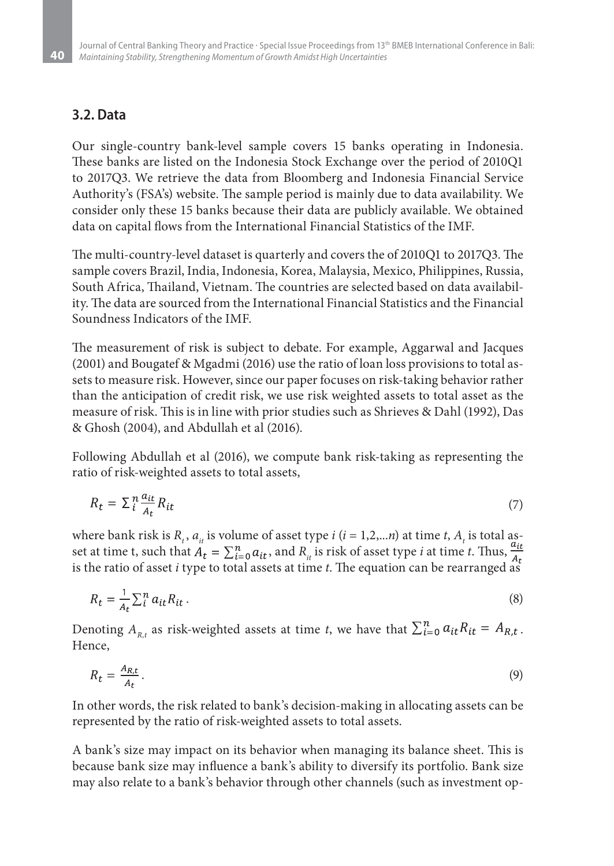### **3.2. Data**

Our single-country bank-level sample covers 15 banks operating in Indonesia. These banks are listed on the Indonesia Stock Exchange over the period of 2010Q1 to 2017Q3. We retrieve the data from Bloomberg and Indonesia Financial Service Authority's (FSA's) website. The sample period is mainly due to data availability. We consider only these 15 banks because their data are publicly available. We obtained data on capital flows from the International Financial Statistics of the IMF.

The multi-country-level dataset is quarterly and covers the of 2010Q1 to 2017Q3. The sample covers Brazil, India, Indonesia, Korea, Malaysia, Mexico, Philippines, Russia, South Africa, Thailand, Vietnam. The countries are selected based on data availability. The data are sourced from the International Financial Statistics and the Financial Soundness Indicators of the IMF.

The measurement of risk is subject to debate. For example, Aggarwal and Jacques (2001) and Bougatef & Mgadmi (2016) use the ratio of loan loss provisions to total assets to measure risk. However, since our paper focuses on risk-taking behavior rather than the anticipation of credit risk, we use risk weighted assets to total asset as the measure of risk. This is in line with prior studies such as Shrieves & Dahl (1992), Das & Ghosh (2004), and Abdullah et al (2016).

Following Abdullah et al (2016), we compute bank risk-taking as representing the ratio of risk-weighted assets to total assets,

$$
R_t = \sum_{i}^{n} \frac{a_{it}}{A_t} R_{it} \tag{7}
$$

where bank risk is  $R_t$ ,  $a_{it}$  is volume of asset type  $i$   $(i = 1, 2, ...n)$  at time  $t$ ,  $A_t$  is total asset at time t, such that  $A_t = \sum_{i=0}^n a_{it}$ , and  $R_i$  is risk of asset type *i* at time *t*. Thus,  $\frac{a_{it}}{A_t}$ is the ratio of asset *i* type to total assets at time *t*. The equation can be rearranged as

$$
R_t = \frac{1}{A_t} \sum_{i}^{n} a_{it} R_{it} \,. \tag{8}
$$

Denoting  $A_{R,t}$  as risk-weighted assets at time *t*, we have that  $\sum_{i=0}^{n} a_{it} R_{it} = A_{R,t}$ . Hence,

$$
R_t = \frac{A_{R,t}}{A_t} \,. \tag{9}
$$

In other words, the risk related to bank's decision-making in allocating assets can be represented by the ratio of risk-weighted assets to total assets.

A bank's size may impact on its behavior when managing its balance sheet. This is because bank size may influence a bank's ability to diversify its portfolio. Bank size may also relate to a bank's behavior through other channels (such as investment op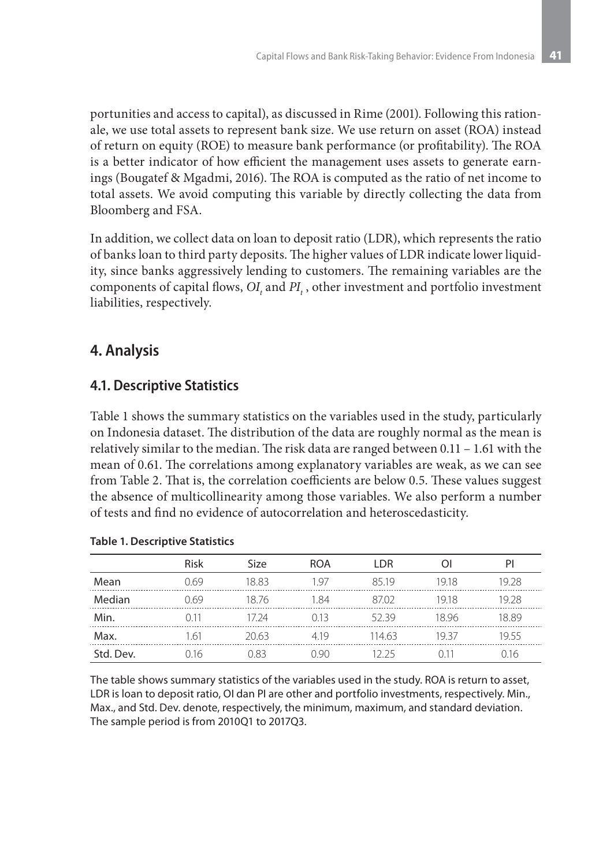portunities and access to capital), as discussed in Rime (2001). Following this rationale, we use total assets to represent bank size. We use return on asset (ROA) instead of return on equity (ROE) to measure bank performance (or profitability). The ROA is a better indicator of how efficient the management uses assets to generate earnings (Bougatef & Mgadmi, 2016). The ROA is computed as the ratio of net income to total assets. We avoid computing this variable by directly collecting the data from Bloomberg and FSA.

In addition, we collect data on loan to deposit ratio (LDR), which represents the ratio of banks loan to third party deposits. The higher values of LDR indicate lower liquidity, since banks aggressively lending to customers. The remaining variables are the components of capital flows,  $OI_{t}$  and  $PI_{t}$ , other investment and portfolio investment liabilities, respectively.

# **4. Analysis**

### **4.1. Descriptive Statistics**

Table 1 shows the summary statistics on the variables used in the study, particularly on Indonesia dataset. The distribution of the data are roughly normal as the mean is relatively similar to the median. The risk data are ranged between 0.11 – 1.61 with the mean of 0.61. The correlations among explanatory variables are weak, as we can see from Table 2. That is, the correlation coefficients are below 0.5. These values suggest the absence of multicollinearity among those variables. We also perform a number of tests and find no evidence of autocorrelation and heteroscedasticity.

|           | Risk | <b>Size</b> | <b>ROA</b> | I DR   |       | PI    |
|-----------|------|-------------|------------|--------|-------|-------|
| Mean      | N 69 | 18 83       | 197        | 8519   | 1918  | 19 28 |
| Median    | 7 69 | 18 76       | 1 84       | 8702   | 1918  | 19 28 |
| Min.      |      | 7 7 4       | N 13       | 5239   | 18 96 | 18.89 |
| Max.      | h    | 20.63.      | 419        | 114.63 | IQ 37 | 1955  |
| Std. Dev. | 16   |             | חס ו       | つち     |       | 16    |

### **Table 1. Descriptive Statistics**

The table shows summary statistics of the variables used in the study. ROA is return to asset, LDR is loan to deposit ratio, OI dan PI are other and portfolio investments, respectively. Min., Max., and Std. Dev. denote, respectively, the minimum, maximum, and standard deviation. The sample period is from 2010Q1 to 2017Q3.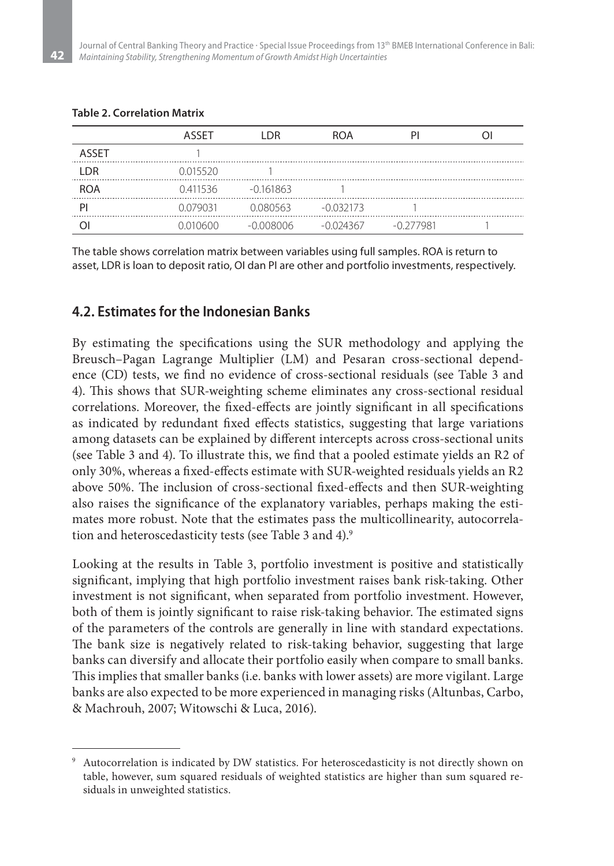#### **Table 2. Correlation Matrix**

|              | ASSET    | <b>DR</b>   | ROA         |             |  |
|--------------|----------|-------------|-------------|-------------|--|
| <b>ASSET</b> |          |             |             |             |  |
| I DR         | 0.015520 |             |             |             |  |
| <b>ROA</b>   | 0.411536 | $-0.161863$ |             |             |  |
|              | 0.079031 | 0.080563    | $-0.032173$ |             |  |
|              |          | -0.008006   | $-0.024367$ | $-0.277981$ |  |

The table shows correlation matrix between variables using full samples. ROA is return to asset, LDR is loan to deposit ratio, OI dan PI are other and portfolio investments, respectively.

### **4.2. Estimates for the Indonesian Banks**

By estimating the specifications using the SUR methodology and applying the Breusch–Pagan Lagrange Multiplier (LM) and Pesaran cross-sectional dependence (CD) tests, we find no evidence of cross-sectional residuals (see Table 3 and 4). This shows that SUR-weighting scheme eliminates any cross-sectional residual correlations. Moreover, the fixed-effects are jointly significant in all specifications as indicated by redundant fixed effects statistics, suggesting that large variations among datasets can be explained by different intercepts across cross-sectional units (see Table 3 and 4). To illustrate this, we find that a pooled estimate yields an R2 of only 30%, whereas a fixed-effects estimate with SUR-weighted residuals yields an R2 above 50%. The inclusion of cross-sectional fixed-effects and then SUR-weighting also raises the significance of the explanatory variables, perhaps making the estimates more robust. Note that the estimates pass the multicollinearity, autocorrelation and heteroscedasticity tests (see Table 3 and 4).<sup>9</sup>

Looking at the results in Table 3, portfolio investment is positive and statistically significant, implying that high portfolio investment raises bank risk-taking. Other investment is not significant, when separated from portfolio investment. However, both of them is jointly significant to raise risk-taking behavior. The estimated signs of the parameters of the controls are generally in line with standard expectations. The bank size is negatively related to risk-taking behavior, suggesting that large banks can diversify and allocate their portfolio easily when compare to small banks. This implies that smaller banks (i.e. banks with lower assets) are more vigilant. Large banks are also expected to be more experienced in managing risks (Altunbas, Carbo, & Machrouh, 2007; Witowschi & Luca, 2016).

Autocorrelation is indicated by DW statistics. For heteroscedasticity is not directly shown on table, however, sum squared residuals of weighted statistics are higher than sum squared residuals in unweighted statistics.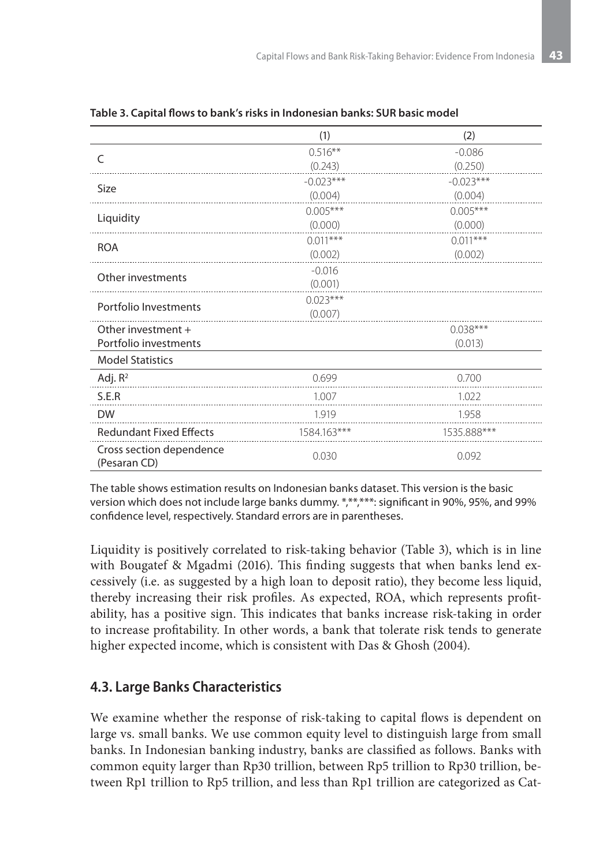|                                          | (1)         | (2)         |  |
|------------------------------------------|-------------|-------------|--|
| C                                        | $0.516***$  | $-0.086$    |  |
|                                          | (0.243)     | (0.250)     |  |
| <b>Size</b>                              | $-0.023***$ | $-0.023***$ |  |
|                                          | (0.004)     | (0.004)     |  |
| Liquidity                                | $0.005***$  | $0.005***$  |  |
|                                          | (0.000)     | (0.000)     |  |
| <b>ROA</b>                               | $0.011***$  | $0.011***$  |  |
|                                          | (0.002)     | (0.002)     |  |
| Other investments                        | $-0.016$    |             |  |
|                                          | (0.001)     |             |  |
| Portfolio Investments                    | $0.023***$  |             |  |
|                                          | (0.007)     |             |  |
| Other investment +                       |             | $0.038***$  |  |
| Portfolio investments                    |             | (0.013)     |  |
| <b>Model Statistics</b>                  |             |             |  |
| Adj. $R^2$                               | 0.699       | 0.700       |  |
| S.E.R                                    | 1.007       | 1.022       |  |
| <b>DW</b>                                | 1.919       | 1.958       |  |
| <b>Redundant Fixed Effects</b>           | 1584.163*** | 1535.888*** |  |
| Cross section dependence<br>(Pesaran CD) | 0.030       | 0.092       |  |

|  |  |  |  |  |  |  | Table 3. Capital flows to bank's risks in Indonesian banks: SUR basic model |
|--|--|--|--|--|--|--|-----------------------------------------------------------------------------|
|--|--|--|--|--|--|--|-----------------------------------------------------------------------------|

The table shows estimation results on Indonesian banks dataset. This version is the basic version which does not include large banks dummy. \*,\*\*,\*\*\*: significant in 90%, 95%, and 99% confidence level, respectively. Standard errors are in parentheses.

Liquidity is positively correlated to risk-taking behavior (Table 3), which is in line with Bougatef & Mgadmi (2016). This finding suggests that when banks lend excessively (i.e. as suggested by a high loan to deposit ratio), they become less liquid, thereby increasing their risk profiles. As expected, ROA, which represents profitability, has a positive sign. This indicates that banks increase risk-taking in order to increase profitability. In other words, a bank that tolerate risk tends to generate higher expected income, which is consistent with Das & Ghosh (2004).

### **4.3. Large Banks Characteristics**

We examine whether the response of risk-taking to capital flows is dependent on large vs. small banks. We use common equity level to distinguish large from small banks. In Indonesian banking industry, banks are classified as follows. Banks with common equity larger than Rp30 trillion, between Rp5 trillion to Rp30 trillion, between Rp1 trillion to Rp5 trillion, and less than Rp1 trillion are categorized as Cat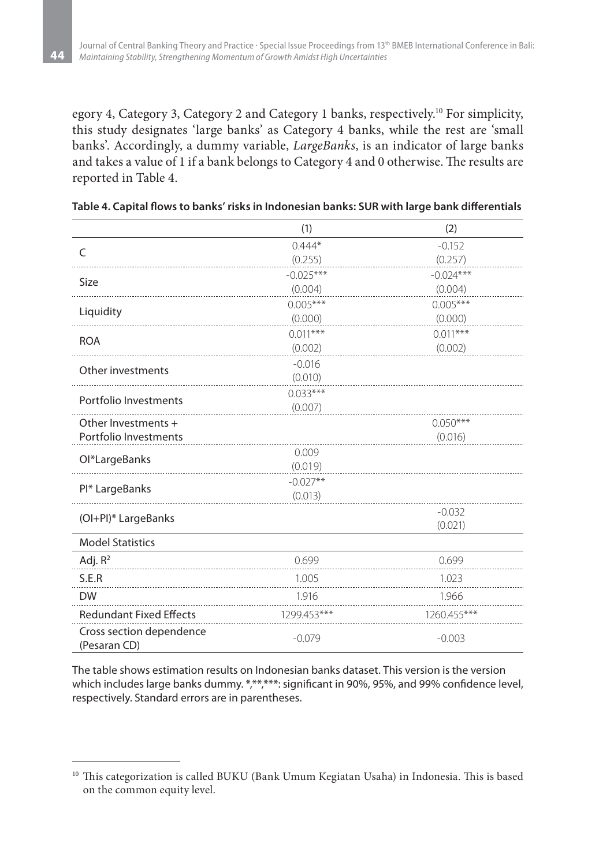egory 4, Category 3, Category 2 and Category 1 banks, respectively.10 For simplicity, this study designates 'large banks' as Category 4 banks, while the rest are 'small banks'. Accordingly, a dummy variable, *LargeBanks*, is an indicator of large banks and takes a value of 1 if a bank belongs to Category 4 and 0 otherwise. The results are reported in Table 4.

|                                          | (1)         | (2)           |
|------------------------------------------|-------------|---------------|
| C                                        | $0.444*$    | $-0.152$      |
|                                          | (0.255)     | (0.257)       |
| <b>Size</b>                              | $-0.025***$ | $-0.024***$   |
|                                          | (0.004)     | (0.004)       |
| Liquidity                                | $0.005***$  | $0.005***$    |
|                                          | (0.000)     | (0.000)       |
| <b>ROA</b>                               | $0.011***$  | $0.011***$    |
|                                          | (0.002)     | (0.002)       |
| Other investments                        | $-0.016$    |               |
|                                          | (0.010)     |               |
| Portfolio Investments                    | $0.033***$  |               |
|                                          | (0.007)     |               |
| Other Investments +                      |             | $0.050***$    |
| Portfolio Investments                    |             | (0.016)       |
| Ol*LargeBanks                            | 0.009       |               |
|                                          | (0.019)     |               |
| PI* LargeBanks                           | $-0.027**$  |               |
|                                          | (0.013)     |               |
| (OI+PI)* LargeBanks                      |             | $-0.032$      |
|                                          |             | (0.021)       |
| <b>Model Statistics</b>                  |             |               |
| Adj. $R^2$                               | 0.699       | 0.699         |
| S.E.R                                    | 1.005       | 1.023         |
| <b>DW</b>                                | 1.916       | 1.966         |
| <b>Redundant Fixed Effects</b>           | 1299.453*** | $1260.455***$ |
| Cross section dependence<br>(Pesaran CD) | $-0.079$    | $-0.003$      |

|  | Table 4. Capital flows to banks' risks in Indonesian banks: SUR with large bank differentials |  |
|--|-----------------------------------------------------------------------------------------------|--|
|--|-----------------------------------------------------------------------------------------------|--|

The table shows estimation results on Indonesian banks dataset. This version is the version which includes large banks dummy. \*,\*\*,\*\*\*: significant in 90%, 95%, and 99% confidence level, respectively. Standard errors are in parentheses.

<sup>&</sup>lt;sup>10</sup> This categorization is called BUKU (Bank Umum Kegiatan Usaha) in Indonesia. This is based on the common equity level.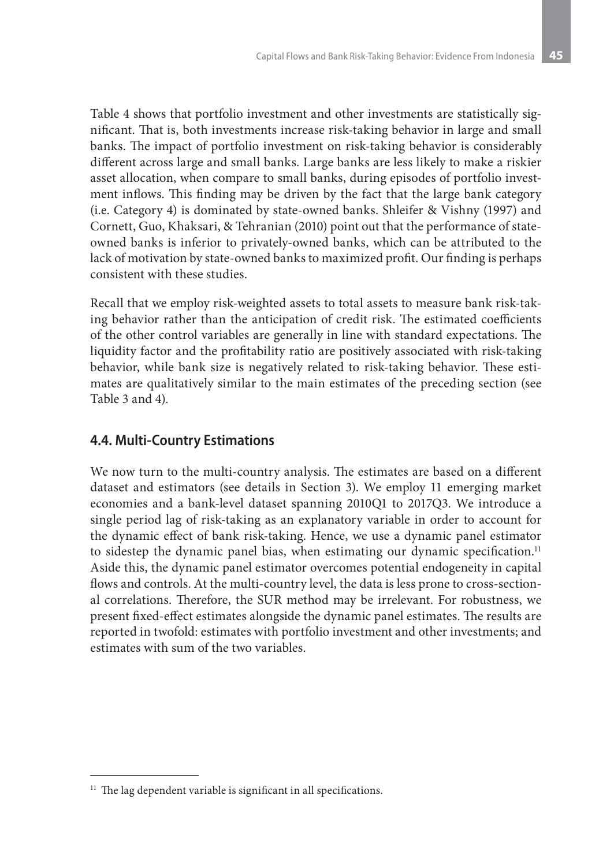Table 4 shows that portfolio investment and other investments are statistically significant. That is, both investments increase risk-taking behavior in large and small banks. The impact of portfolio investment on risk-taking behavior is considerably different across large and small banks. Large banks are less likely to make a riskier asset allocation, when compare to small banks, during episodes of portfolio investment inflows. This finding may be driven by the fact that the large bank category (i.e. Category 4) is dominated by state-owned banks. Shleifer & Vishny (1997) and Cornett, Guo, Khaksari, & Tehranian (2010) point out that the performance of stateowned banks is inferior to privately-owned banks, which can be attributed to the lack of motivation by state-owned banks to maximized profit. Our finding is perhaps consistent with these studies.

Recall that we employ risk-weighted assets to total assets to measure bank risk-taking behavior rather than the anticipation of credit risk. The estimated coefficients of the other control variables are generally in line with standard expectations. The liquidity factor and the profitability ratio are positively associated with risk-taking behavior, while bank size is negatively related to risk-taking behavior. These estimates are qualitatively similar to the main estimates of the preceding section (see Table 3 and 4).

### **4.4. Multi-Country Estimations**

We now turn to the multi-country analysis. The estimates are based on a different dataset and estimators (see details in Section 3). We employ 11 emerging market economies and a bank-level dataset spanning 2010Q1 to 2017Q3. We introduce a single period lag of risk-taking as an explanatory variable in order to account for the dynamic effect of bank risk-taking. Hence, we use a dynamic panel estimator to sidestep the dynamic panel bias, when estimating our dynamic specification.<sup>11</sup> Aside this, the dynamic panel estimator overcomes potential endogeneity in capital flows and controls. At the multi-country level, the data is less prone to cross-sectional correlations. Therefore, the SUR method may be irrelevant. For robustness, we present fixed-effect estimates alongside the dynamic panel estimates. The results are reported in twofold: estimates with portfolio investment and other investments; and estimates with sum of the two variables.

 $11$  The lag dependent variable is significant in all specifications.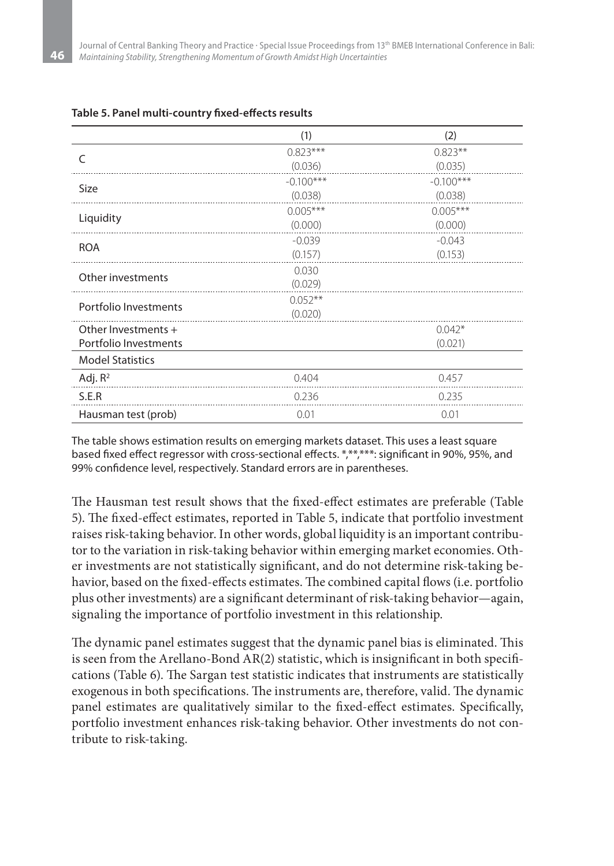|                         | (1)         | (2)         |
|-------------------------|-------------|-------------|
| $\subset$               | $0.823***$  | $0.823**$   |
|                         | (0.036)     | (0.035)     |
| <b>Size</b>             | $-0.100***$ | $-0.100***$ |
|                         | (0.038)     | (0.038)     |
| Liquidity               | $0.005***$  | $0.005***$  |
|                         | (0.000)     | (0.000)     |
| <b>ROA</b>              | $-0.039$    | $-0.043$    |
|                         | (0.157)     | (0.153)     |
| Other investments       | 0.030       |             |
|                         | (0.029)     |             |
| Portfolio Investments   | $0.052**$   |             |
|                         | (0.020)     |             |
| Other Investments +     |             | $0.042*$    |
| Portfolio Investments   |             | (0.021)     |
| <b>Model Statistics</b> |             |             |
| Adj. $R^2$              | 0.404       | 0.457       |
| S.E.R                   | 0.236       | 0.235       |
| Hausman test (prob)     | 0.01        | 0.01        |

#### **Table 5. Panel multi-country fixed-effects results**

The table shows estimation results on emerging markets dataset. This uses a least square based fixed effect regressor with cross-sectional effects. \*,\*\*,\*\*\*: significant in 90%, 95%, and 99% confidence level, respectively. Standard errors are in parentheses.

The Hausman test result shows that the fixed-effect estimates are preferable (Table 5). The fixed-effect estimates, reported in Table 5, indicate that portfolio investment raises risk-taking behavior. In other words, global liquidity is an important contributor to the variation in risk-taking behavior within emerging market economies. Other investments are not statistically significant, and do not determine risk-taking behavior, based on the fixed-effects estimates. The combined capital flows (i.e. portfolio plus other investments) are a significant determinant of risk-taking behavior—again, signaling the importance of portfolio investment in this relationship.

The dynamic panel estimates suggest that the dynamic panel bias is eliminated. This is seen from the Arellano-Bond AR(2) statistic, which is insignificant in both specifications (Table 6). The Sargan test statistic indicates that instruments are statistically exogenous in both specifications. The instruments are, therefore, valid. The dynamic panel estimates are qualitatively similar to the fixed-effect estimates. Specifically, portfolio investment enhances risk-taking behavior. Other investments do not contribute to risk-taking.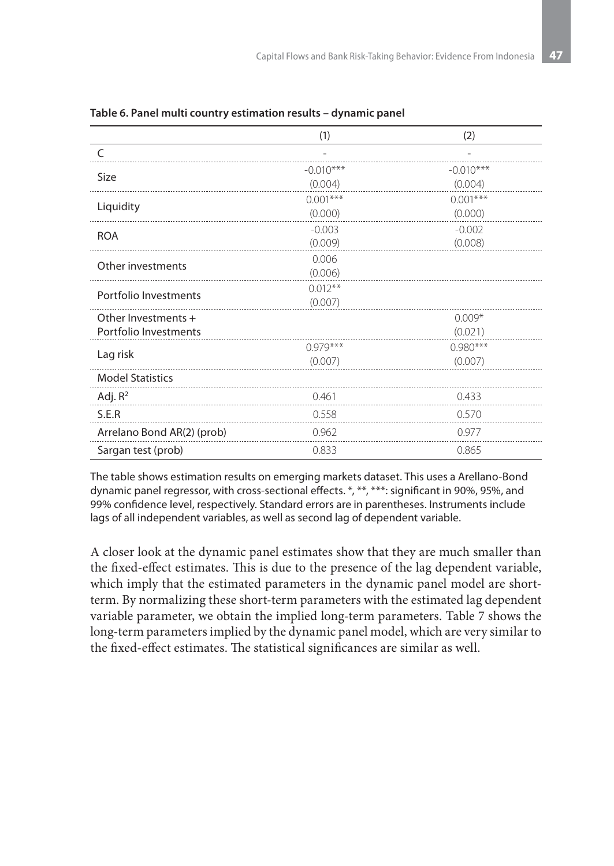|                            | (1)         | (2)         |
|----------------------------|-------------|-------------|
| C                          |             |             |
| <b>Size</b>                | $-0.010***$ | $-0.010***$ |
|                            | (0.004)     | (0.004)     |
| Liquidity                  | $0.001***$  | $0.001***$  |
|                            | (0.000)     | (0.000)     |
| <b>ROA</b>                 | $-0.003$    | $-0.002$    |
|                            | (0.009)     | (0.008)     |
| Other investments          | 0.006       |             |
|                            | (0.006)     |             |
| Portfolio Investments      | $0.012**$   |             |
|                            | (0.007)     |             |
| Other Investments +        |             | $0.009*$    |
| Portfolio Investments      |             | (0.021)     |
| Lag risk                   | $0.979***$  | $0.980***$  |
|                            | (0.007)     | (0.007)     |
| <b>Model Statistics</b>    |             |             |
| Adj. $R^2$                 | 0.461       | 0.433       |
| S.E.R                      | 0.558       | 0.570       |
| Arrelano Bond AR(2) (prob) | 0.962       | 0.977       |
| Sargan test (prob)         | 0.833       | 0.865       |

**Table 6. Panel multi country estimation results – dynamic panel**

The table shows estimation results on emerging markets dataset. This uses a Arellano-Bond dynamic panel regressor, with cross-sectional effects. \*, \*\*, \*\*\*: significant in 90%, 95%, and 99% confidence level, respectively. Standard errors are in parentheses. Instruments include lags of all independent variables, as well as second lag of dependent variable.

A closer look at the dynamic panel estimates show that they are much smaller than the fixed-effect estimates. This is due to the presence of the lag dependent variable, which imply that the estimated parameters in the dynamic panel model are shortterm. By normalizing these short-term parameters with the estimated lag dependent variable parameter, we obtain the implied long-term parameters. Table 7 shows the long-term parameters implied by the dynamic panel model, which are very similar to the fixed-effect estimates. The statistical significances are similar as well.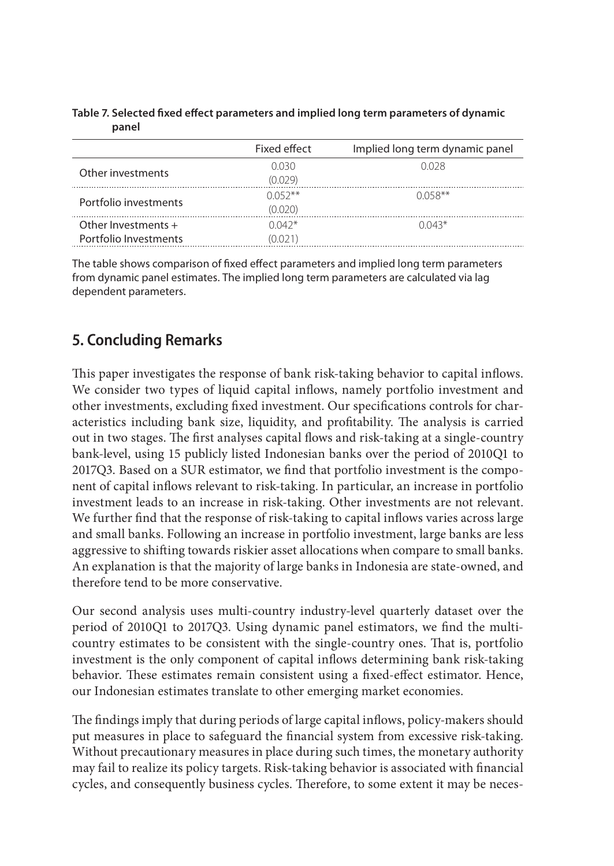#### **Table 7. Selected fixed effect parameters and implied long term parameters of dynamic panel**

|                       | Fixed effect | Implied long term dynamic panel |
|-----------------------|--------------|---------------------------------|
| Other investments     | 0.030        | 0.028                           |
|                       | (0.029)      |                                 |
| Portfolio investments | $0.052**$    | $0.058**$                       |
|                       | (0.020)      |                                 |
| Other Investments $+$ | $0.042*$     | $0.043*$                        |
| Portfolio Investments | (0.021)      |                                 |

The table shows comparison of fixed effect parameters and implied long term parameters from dynamic panel estimates. The implied long term parameters are calculated via lag dependent parameters.

# **5. Concluding Remarks**

This paper investigates the response of bank risk-taking behavior to capital inflows. We consider two types of liquid capital inflows, namely portfolio investment and other investments, excluding fixed investment. Our specifications controls for characteristics including bank size, liquidity, and profitability. The analysis is carried out in two stages. The first analyses capital flows and risk-taking at a single-country bank-level, using 15 publicly listed Indonesian banks over the period of 2010Q1 to 2017Q3. Based on a SUR estimator, we find that portfolio investment is the component of capital inflows relevant to risk-taking. In particular, an increase in portfolio investment leads to an increase in risk-taking. Other investments are not relevant. We further find that the response of risk-taking to capital inflows varies across large and small banks. Following an increase in portfolio investment, large banks are less aggressive to shifting towards riskier asset allocations when compare to small banks. An explanation is that the majority of large banks in Indonesia are state-owned, and therefore tend to be more conservative.

Our second analysis uses multi-country industry-level quarterly dataset over the period of 2010Q1 to 2017Q3. Using dynamic panel estimators, we find the multicountry estimates to be consistent with the single-country ones. That is, portfolio investment is the only component of capital inflows determining bank risk-taking behavior. These estimates remain consistent using a fixed-effect estimator. Hence, our Indonesian estimates translate to other emerging market economies.

The findings imply that during periods of large capital inflows, policy-makers should put measures in place to safeguard the financial system from excessive risk-taking. Without precautionary measures in place during such times, the monetary authority may fail to realize its policy targets. Risk-taking behavior is associated with financial cycles, and consequently business cycles. Therefore, to some extent it may be neces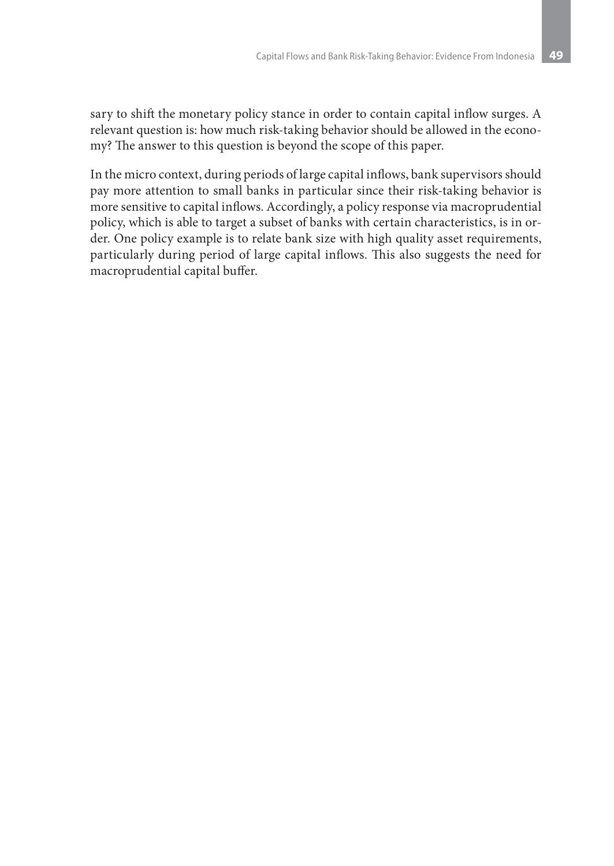sary to shift the monetary policy stance in order to contain capital inflow surges. A relevant question is: how much risk-taking behavior should be allowed in the economy? The answer to this question is beyond the scope of this paper.

In the micro context, during periods of large capital inflows, bank supervisors should pay more attention to small banks in particular since their risk-taking behavior is more sensitive to capital inflows. Accordingly, a policy response via macroprudential policy, which is able to target a subset of banks with certain characteristics, is in order. One policy example is to relate bank size with high quality asset requirements, particularly during period of large capital inflows. This also suggests the need for macroprudential capital buffer.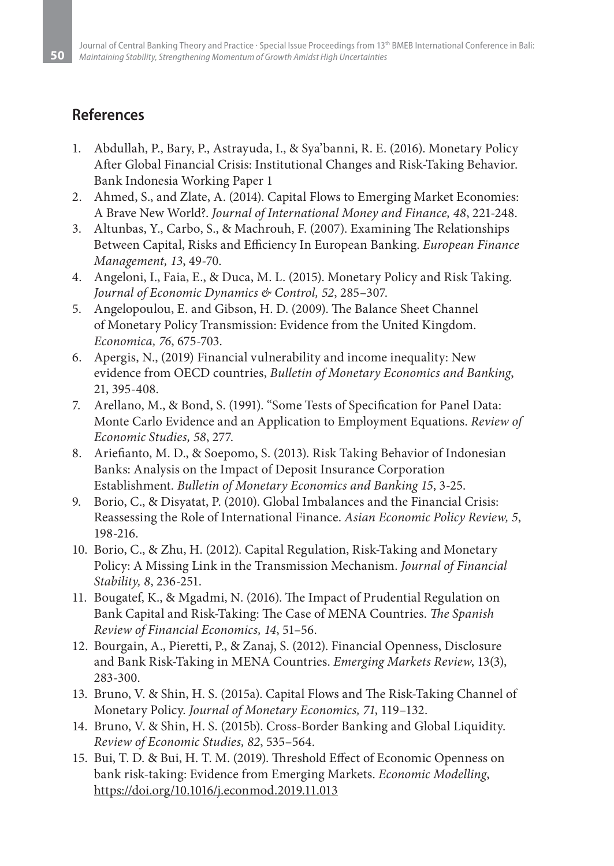# **References**

- 1. Abdullah, P., Bary, P., Astrayuda, I., & Sya'banni, R. E. (2016). Monetary Policy After Global Financial Crisis: Institutional Changes and Risk-Taking Behavior. Bank Indonesia Working Paper 1
- 2. Ahmed, S., and Zlate, A. (2014). Capital Flows to Emerging Market Economies: A Brave New World?. *Journal of International Money and Finance, 48*, 221-248.
- 3. Altunbas, Y., Carbo, S., & Machrouh, F. (2007). Examining The Relationships Between Capital, Risks and Efficiency In European Banking. *European Finance Management, 13*, 49-70.
- 4. Angeloni, I., Faia, E., & Duca, M. L. (2015). Monetary Policy and Risk Taking. *Journal of Economic Dynamics & Control, 52*, 285–307.
- 5. Angelopoulou, E. and Gibson, H. D. (2009). The Balance Sheet Channel of Monetary Policy Transmission: Evidence from the United Kingdom. *Economica, 76*, 675-703.
- 6. Apergis, N., (2019) Financial vulnerability and income inequality: New evidence from OECD countries, *Bulletin of Monetary Economics and Banking*, 21, 395-408.
- 7. Arellano, M., & Bond, S. (1991). "Some Tests of Specification for Panel Data: Monte Carlo Evidence and an Application to Employment Equations. *Review of Economic Studies, 58*, 277.
- 8. Ariefianto, M. D., & Soepomo, S. (2013). Risk Taking Behavior of Indonesian Banks: Analysis on the Impact of Deposit Insurance Corporation Establishment. *Bulletin of Monetary Economics and Banking 15*, 3-25.
- 9. Borio, C., & Disyatat, P. (2010). Global Imbalances and the Financial Crisis: Reassessing the Role of International Finance. *Asian Economic Policy Review, 5*, 198-216.
- 10. Borio, C., & Zhu, H. (2012). Capital Regulation, Risk-Taking and Monetary Policy: A Missing Link in the Transmission Mechanism. *Journal of Financial Stability, 8*, 236-251.
- 11. Bougatef, K., & Mgadmi, N. (2016). The Impact of Prudential Regulation on Bank Capital and Risk-Taking: The Case of MENA Countries. *The Spanish Review of Financial Economics, 14*, 51–56.
- 12. Bourgain, A., Pieretti, P., & Zanaj, S. (2012). Financial Openness, Disclosure and Bank Risk-Taking in MENA Countries. *Emerging Markets Review*, 13(3), 283-300.
- 13. Bruno, V. & Shin, H. S. (2015a). Capital Flows and The Risk-Taking Channel of Monetary Policy. *Journal of Monetary Economics, 71*, 119–132.
- 14. Bruno, V. & Shin, H. S. (2015b). Cross-Border Banking and Global Liquidity. *Review of Economic Studies, 82*, 535–564.
- 15. Bui, T. D. & Bui, H. T. M. (2019). Threshold Effect of Economic Openness on bank risk-taking: Evidence from Emerging Markets. *Economic Modelling*, https://doi.org/10.1016/j.econmod.2019.11.013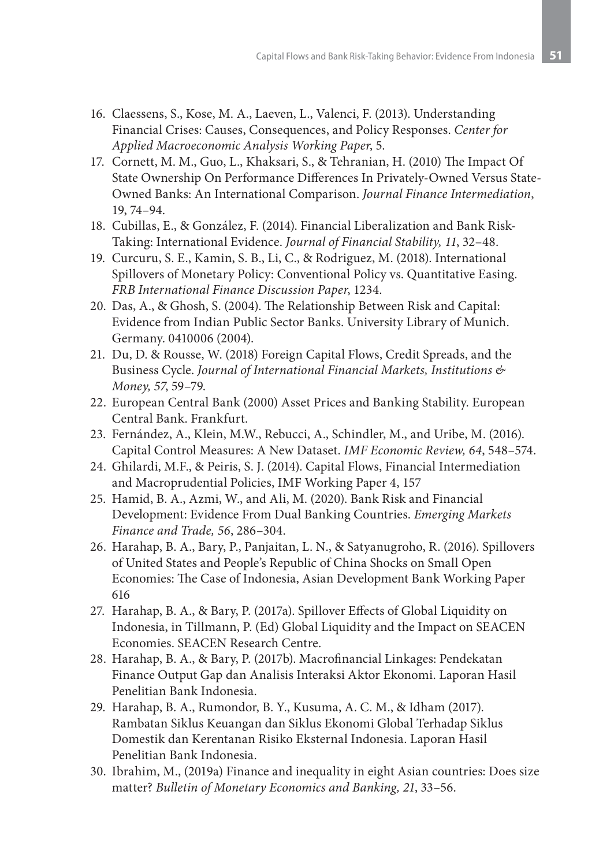- 16. Claessens, S., Kose, M. A., Laeven, L., Valenci, F. (2013). Understanding Financial Crises: Causes, Consequences, and Policy Responses. *Center for Applied Macroeconomic Analysis Working Paper*, 5.
- 17. Cornett, M. M., Guo, L., Khaksari, S., & Tehranian, H. (2010) The Impact Of State Ownership On Performance Differences In Privately-Owned Versus State-Owned Banks: An International Comparison. *Journal Finance Intermediation*, 19, 74–94.
- 18. Cubillas, E., & González, F. (2014). Financial Liberalization and Bank Risk-Taking: International Evidence. *Journal of Financial Stability, 11*, 32–48.
- 19. Curcuru, S. E., Kamin, S. B., Li, C., & Rodriguez, M. (2018). International Spillovers of Monetary Policy: Conventional Policy vs. Quantitative Easing. *FRB International Finance Discussion Paper*, 1234.
- 20. Das, A., & Ghosh, S. (2004). The Relationship Between Risk and Capital: Evidence from Indian Public Sector Banks. University Library of Munich. Germany. 0410006 (2004).
- 21. Du, D. & Rousse, W. (2018) Foreign Capital Flows, Credit Spreads, and the Business Cycle. *Journal of International Financial Markets, Institutions & Money, 57*, 59–79.
- 22. European Central Bank (2000) Asset Prices and Banking Stability. European Central Bank. Frankfurt.
- 23. Fernández, A., Klein, M.W., Rebucci, A., Schindler, M., and Uribe, M. (2016). Capital Control Measures: A New Dataset. *IMF Economic Review, 64*, 548–574.
- 24. Ghilardi, M.F., & Peiris, S. J. (2014). Capital Flows, Financial Intermediation and Macroprudential Policies, IMF Working Paper 4, 157
- 25. Hamid, B. A., Azmi, W., and Ali, M. (2020). Bank Risk and Financial Development: Evidence From Dual Banking Countries. *Emerging Markets Finance and Trade, 56*, 286–304.
- 26. Harahap, B. A., Bary, P., Panjaitan, L. N., & Satyanugroho, R. (2016). Spillovers of United States and People's Republic of China Shocks on Small Open Economies: The Case of Indonesia, Asian Development Bank Working Paper 616
- 27. Harahap, B. A., & Bary, P. (2017a). Spillover Effects of Global Liquidity on Indonesia, in Tillmann, P. (Ed) Global Liquidity and the Impact on SEACEN Economies. SEACEN Research Centre.
- 28. Harahap, B. A., & Bary, P. (2017b). Macrofinancial Linkages: Pendekatan Finance Output Gap dan Analisis Interaksi Aktor Ekonomi. Laporan Hasil Penelitian Bank Indonesia.
- 29. Harahap, B. A., Rumondor, B. Y., Kusuma, A. C. M., & Idham (2017). Rambatan Siklus Keuangan dan Siklus Ekonomi Global Terhadap Siklus Domestik dan Kerentanan Risiko Eksternal Indonesia. Laporan Hasil Penelitian Bank Indonesia.
- 30. Ibrahim, M., (2019a) Finance and inequality in eight Asian countries: Does size matter? *Bulletin of Monetary Economics and Banking, 21*, 33–56.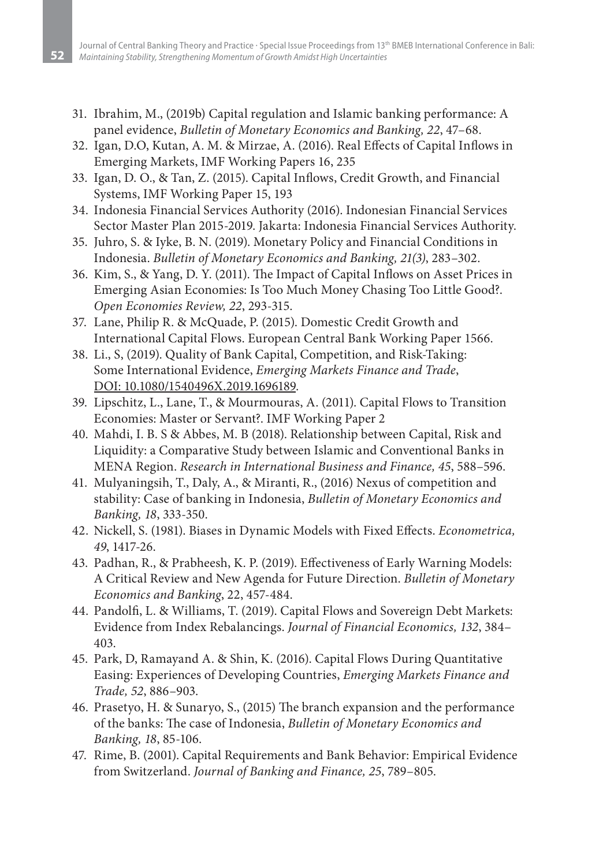- 31. Ibrahim, M., (2019b) Capital regulation and Islamic banking performance: A panel evidence, *Bulletin of Monetary Economics and Banking, 22*, 47–68.
- 32. Igan, D.O, Kutan, A. M. & Mirzae, A. (2016). Real Effects of Capital Inflows in Emerging Markets, IMF Working Papers 16, 235
- 33. Igan, D. O., & Tan, Z. (2015). Capital Inflows, Credit Growth, and Financial Systems, IMF Working Paper 15, 193
- 34. Indonesia Financial Services Authority (2016). Indonesian Financial Services Sector Master Plan 2015-2019. Jakarta: Indonesia Financial Services Authority.
- 35. Juhro, S. & Iyke, B. N. (2019). Monetary Policy and Financial Conditions in Indonesia. *Bulletin of Monetary Economics and Banking, 21(3)*, 283–302.
- 36. Kim, S., & Yang, D. Y. (2011). The Impact of Capital Inflows on Asset Prices in Emerging Asian Economies: Is Too Much Money Chasing Too Little Good?. *Open Economies Review, 22*, 293-315.
- 37. Lane, Philip R. & McQuade, P. (2015). Domestic Credit Growth and International Capital Flows. European Central Bank Working Paper 1566.
- 38. Li., S, (2019). Quality of Bank Capital, Competition, and Risk-Taking: Some International Evidence, *Emerging Markets Finance and Trade*, DOI: 10.1080/1540496X.2019.1696189.
- 39. Lipschitz, L., Lane, T., & Mourmouras, A. (2011). Capital Flows to Transition Economies: Master or Servant?. IMF Working Paper 2
- 40. Mahdi, I. B. S & Abbes, M. B (2018). Relationship between Capital, Risk and Liquidity: a Comparative Study between Islamic and Conventional Banks in MENA Region. *Research in International Business and Finance, 45*, 588–596.
- 41. Mulyaningsih, T., Daly, A., & Miranti, R., (2016) Nexus of competition and stability: Case of banking in Indonesia, *Bulletin of Monetary Economics and Banking, 18*, 333-350.
- 42. Nickell, S. (1981). Biases in Dynamic Models with Fixed Effects. *Econometrica, 49*, 1417-26.
- 43. Padhan, R., & Prabheesh, K. P. (2019). Effectiveness of Early Warning Models: A Critical Review and New Agenda for Future Direction. *Bulletin of Monetary Economics and Banking*, 22, 457-484.
- 44. Pandolfi, L. & Williams, T. (2019). Capital Flows and Sovereign Debt Markets: Evidence from Index Rebalancings. *Journal of Financial Economics, 132*, 384– 403.
- 45. Park, D, Ramayand A. & Shin, K. (2016). Capital Flows During Quantitative Easing: Experiences of Developing Countries, *Emerging Markets Finance and Trade, 52*, 886–903.
- 46. Prasetyo, H. & Sunaryo, S., (2015) The branch expansion and the performance of the banks: The case of Indonesia, *Bulletin of Monetary Economics and Banking, 18*, 85-106.
- 47. Rime, B. (2001). Capital Requirements and Bank Behavior: Empirical Evidence from Switzerland. *Journal of Banking and Finance, 25*, 789–805.